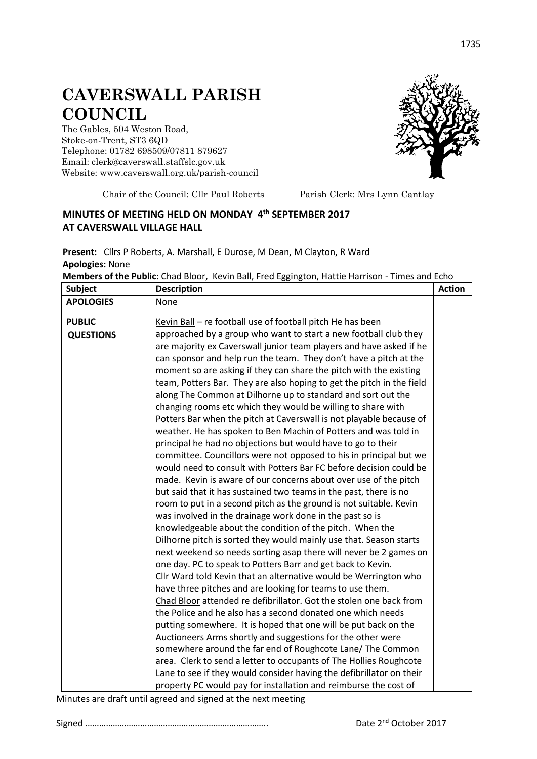## **CAVERSWALL PARISH COUNCIL**

The Gables, 504 Weston Road, Stoke-on-Trent, ST3 6QD Telephone: 01782 698509/07811 879627 Email: clerk@caverswall.staffslc.gov.uk Website: [www.c](http://www.dilhorneparishcouncil.co.uk/)averswall.org.uk/parish-council



Chair of the Council: Cllr Paul Roberts Parish Clerk: Mrs Lynn Cantlay

## **MINUTES OF MEETING HELD ON MONDAY 4 th SEPTEMBER 2017 AT CAVERSWALL VILLAGE HALL**

**Present:** Cllrs P Roberts, A. Marshall, E Durose, M Dean, M Clayton, R Ward **Apologies:** None

| <b>Subject</b>   | <b>Description</b>                                                    | <b>Action</b> |
|------------------|-----------------------------------------------------------------------|---------------|
| <b>APOLOGIES</b> | None                                                                  |               |
| <b>PUBLIC</b>    | Kevin Ball - re football use of football pitch He has been            |               |
| <b>QUESTIONS</b> | approached by a group who want to start a new football club they      |               |
|                  | are majority ex Caverswall junior team players and have asked if he   |               |
|                  | can sponsor and help run the team. They don't have a pitch at the     |               |
|                  | moment so are asking if they can share the pitch with the existing    |               |
|                  | team, Potters Bar. They are also hoping to get the pitch in the field |               |
|                  | along The Common at Dilhorne up to standard and sort out the          |               |
|                  | changing rooms etc which they would be willing to share with          |               |
|                  | Potters Bar when the pitch at Caverswall is not playable because of   |               |
|                  | weather. He has spoken to Ben Machin of Potters and was told in       |               |
|                  | principal he had no objections but would have to go to their          |               |
|                  | committee. Councillors were not opposed to his in principal but we    |               |
|                  | would need to consult with Potters Bar FC before decision could be    |               |
|                  | made. Kevin is aware of our concerns about over use of the pitch      |               |
|                  | but said that it has sustained two teams in the past, there is no     |               |
|                  | room to put in a second pitch as the ground is not suitable. Kevin    |               |
|                  | was involved in the drainage work done in the past so is              |               |
|                  | knowledgeable about the condition of the pitch. When the              |               |
|                  | Dilhorne pitch is sorted they would mainly use that. Season starts    |               |
|                  | next weekend so needs sorting asap there will never be 2 games on     |               |
|                  | one day. PC to speak to Potters Barr and get back to Kevin.           |               |
|                  | Cllr Ward told Kevin that an alternative would be Werrington who      |               |
|                  | have three pitches and are looking for teams to use them.             |               |
|                  | Chad Bloor attended re defibrillator. Got the stolen one back from    |               |
|                  | the Police and he also has a second donated one which needs           |               |
|                  | putting somewhere. It is hoped that one will be put back on the       |               |
|                  | Auctioneers Arms shortly and suggestions for the other were           |               |
|                  | somewhere around the far end of Roughcote Lane/ The Common            |               |
|                  | area. Clerk to send a letter to occupants of The Hollies Roughcote    |               |
|                  | Lane to see if they would consider having the defibrillator on their  |               |
|                  | property PC would pay for installation and reimburse the cost of      |               |

**Members of the Public:** Chad Bloor,Kevin Ball, Fred Eggington, Hattie Harrison - Times and Echo

Minutes are draft until agreed and signed at the next meeting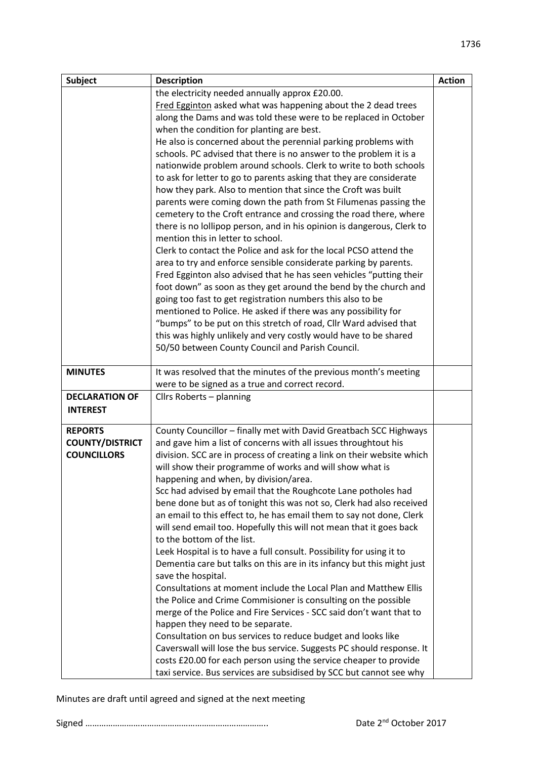| <b>Subject</b>         | <b>Description</b>                                                     | <b>Action</b> |
|------------------------|------------------------------------------------------------------------|---------------|
|                        | the electricity needed annually approx £20.00.                         |               |
|                        | Fred Egginton asked what was happening about the 2 dead trees          |               |
|                        | along the Dams and was told these were to be replaced in October       |               |
|                        | when the condition for planting are best.                              |               |
|                        | He also is concerned about the perennial parking problems with         |               |
|                        | schools. PC advised that there is no answer to the problem it is a     |               |
|                        | nationwide problem around schools. Clerk to write to both schools      |               |
|                        | to ask for letter to go to parents asking that they are considerate    |               |
|                        | how they park. Also to mention that since the Croft was built          |               |
|                        | parents were coming down the path from St Filumenas passing the        |               |
|                        | cemetery to the Croft entrance and crossing the road there, where      |               |
|                        | there is no lollipop person, and in his opinion is dangerous, Clerk to |               |
|                        | mention this in letter to school.                                      |               |
|                        | Clerk to contact the Police and ask for the local PCSO attend the      |               |
|                        | area to try and enforce sensible considerate parking by parents.       |               |
|                        | Fred Egginton also advised that he has seen vehicles "putting their    |               |
|                        | foot down" as soon as they get around the bend by the church and       |               |
|                        | going too fast to get registration numbers this also to be             |               |
|                        | mentioned to Police. He asked if there was any possibility for         |               |
|                        | "bumps" to be put on this stretch of road, Cllr Ward advised that      |               |
|                        | this was highly unlikely and very costly would have to be shared       |               |
|                        | 50/50 between County Council and Parish Council.                       |               |
|                        |                                                                        |               |
| <b>MINUTES</b>         | It was resolved that the minutes of the previous month's meeting       |               |
|                        | were to be signed as a true and correct record.                        |               |
| <b>DECLARATION OF</b>  | Cllrs Roberts - planning                                               |               |
| <b>INTEREST</b>        |                                                                        |               |
| <b>REPORTS</b>         | County Councillor - finally met with David Greatbach SCC Highways      |               |
| <b>COUNTY/DISTRICT</b> | and gave him a list of concerns with all issues throughtout his        |               |
| <b>COUNCILLORS</b>     | division. SCC are in process of creating a link on their website which |               |
|                        | will show their programme of works and will show what is               |               |
|                        | happening and when, by division/area.                                  |               |
|                        | Scc had advised by email that the Roughcote Lane potholes had          |               |
|                        | bene done but as of tonight this was not so, Clerk had also received   |               |
|                        | an email to this effect to, he has email them to say not done, Clerk   |               |
|                        | will send email too. Hopefully this will not mean that it goes back    |               |
|                        | to the bottom of the list.                                             |               |
|                        | Leek Hospital is to have a full consult. Possibility for using it to   |               |
|                        | Dementia care but talks on this are in its infancy but this might just |               |
|                        | save the hospital.                                                     |               |
|                        | Consultations at moment include the Local Plan and Matthew Ellis       |               |
|                        | the Police and Crime Commisioner is consulting on the possible         |               |
|                        | merge of the Police and Fire Services - SCC said don't want that to    |               |
|                        | happen they need to be separate.                                       |               |
|                        | Consultation on bus services to reduce budget and looks like           |               |
|                        | Caverswall will lose the bus service. Suggests PC should response. It  |               |
|                        | costs £20.00 for each person using the service cheaper to provide      |               |
|                        | taxi service. Bus services are subsidised by SCC but cannot see why    |               |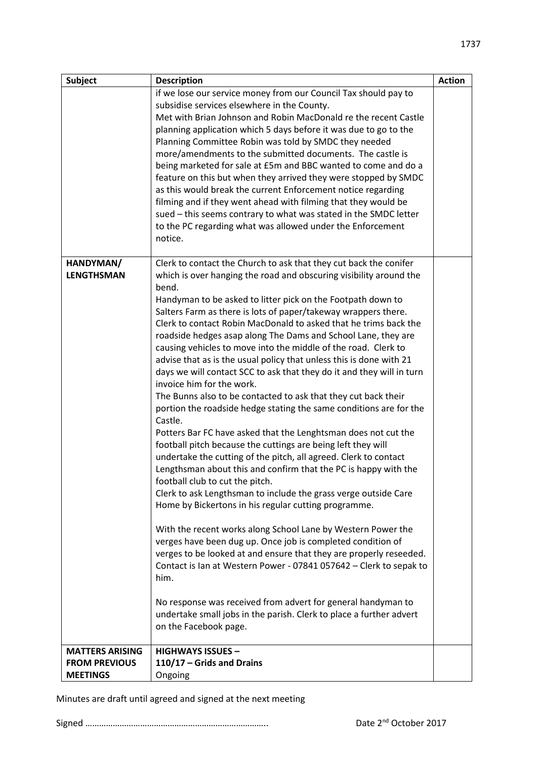| <b>Subject</b>         | <b>Description</b>                                                                                                      | <b>Action</b> |
|------------------------|-------------------------------------------------------------------------------------------------------------------------|---------------|
|                        | if we lose our service money from our Council Tax should pay to                                                         |               |
|                        | subsidise services elsewhere in the County.                                                                             |               |
|                        | Met with Brian Johnson and Robin MacDonald re the recent Castle                                                         |               |
|                        | planning application which 5 days before it was due to go to the                                                        |               |
|                        | Planning Committee Robin was told by SMDC they needed                                                                   |               |
|                        | more/amendments to the submitted documents. The castle is                                                               |               |
|                        | being marketed for sale at £5m and BBC wanted to come and do a                                                          |               |
|                        | feature on this but when they arrived they were stopped by SMDC                                                         |               |
|                        | as this would break the current Enforcement notice regarding                                                            |               |
|                        | filming and if they went ahead with filming that they would be                                                          |               |
|                        | sued - this seems contrary to what was stated in the SMDC letter                                                        |               |
|                        | to the PC regarding what was allowed under the Enforcement                                                              |               |
|                        | notice.                                                                                                                 |               |
|                        |                                                                                                                         |               |
| HANDYMAN/              | Clerk to contact the Church to ask that they cut back the conifer                                                       |               |
| <b>LENGTHSMAN</b>      | which is over hanging the road and obscuring visibility around the                                                      |               |
|                        | bend.                                                                                                                   |               |
|                        | Handyman to be asked to litter pick on the Footpath down to                                                             |               |
|                        | Salters Farm as there is lots of paper/takeway wrappers there.                                                          |               |
|                        | Clerk to contact Robin MacDonald to asked that he trims back the                                                        |               |
|                        | roadside hedges asap along The Dams and School Lane, they are                                                           |               |
|                        | causing vehicles to move into the middle of the road. Clerk to                                                          |               |
|                        | advise that as is the usual policy that unless this is done with 21                                                     |               |
|                        | days we will contact SCC to ask that they do it and they will in turn                                                   |               |
|                        | invoice him for the work.                                                                                               |               |
|                        | The Bunns also to be contacted to ask that they cut back their                                                          |               |
|                        | portion the roadside hedge stating the same conditions are for the                                                      |               |
|                        | Castle.                                                                                                                 |               |
|                        | Potters Bar FC have asked that the Lenghtsman does not cut the                                                          |               |
|                        | football pitch because the cuttings are being left they will                                                            |               |
|                        | undertake the cutting of the pitch, all agreed. Clerk to contact                                                        |               |
|                        | Lengthsman about this and confirm that the PC is happy with the<br>football club to cut the pitch.                      |               |
|                        |                                                                                                                         |               |
|                        | Clerk to ask Lengthsman to include the grass verge outside Care<br>Home by Bickertons in his regular cutting programme. |               |
|                        |                                                                                                                         |               |
|                        | With the recent works along School Lane by Western Power the                                                            |               |
|                        | verges have been dug up. Once job is completed condition of                                                             |               |
|                        | verges to be looked at and ensure that they are properly reseeded.                                                      |               |
|                        | Contact is Ian at Western Power - 07841 057642 - Clerk to sepak to                                                      |               |
|                        | him.                                                                                                                    |               |
|                        |                                                                                                                         |               |
|                        | No response was received from advert for general handyman to                                                            |               |
|                        | undertake small jobs in the parish. Clerk to place a further advert                                                     |               |
|                        | on the Facebook page.                                                                                                   |               |
|                        |                                                                                                                         |               |
| <b>MATTERS ARISING</b> | <b>HIGHWAYS ISSUES -</b>                                                                                                |               |
| <b>FROM PREVIOUS</b>   | 110/17 - Grids and Drains                                                                                               |               |
| <b>MEETINGS</b>        | Ongoing                                                                                                                 |               |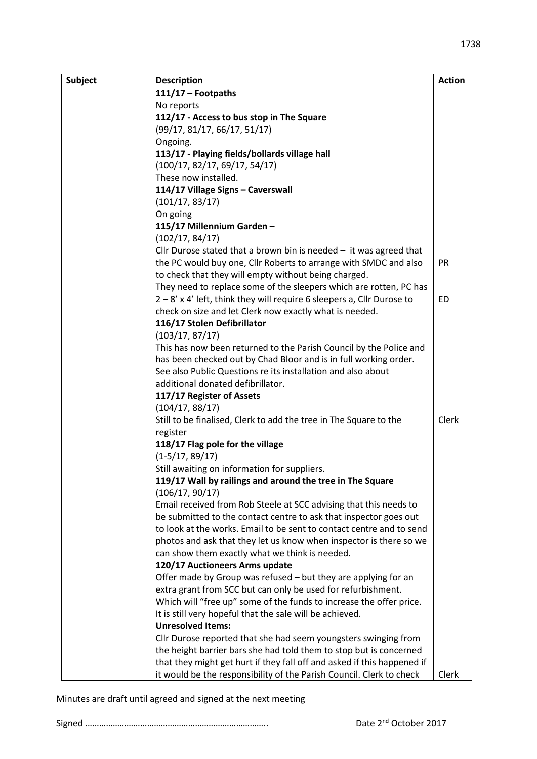| <b>Subject</b> | <b>Description</b>                                                       | <b>Action</b> |
|----------------|--------------------------------------------------------------------------|---------------|
|                | $111/17$ - Footpaths                                                     |               |
|                | No reports                                                               |               |
|                | 112/17 - Access to bus stop in The Square                                |               |
|                | (99/17, 81/17, 66/17, 51/17)                                             |               |
|                | Ongoing.                                                                 |               |
|                | 113/17 - Playing fields/bollards village hall                            |               |
|                | (100/17, 82/17, 69/17, 54/17)                                            |               |
|                | These now installed.                                                     |               |
|                | 114/17 Village Signs - Caverswall                                        |               |
|                | (101/17, 83/17)                                                          |               |
|                | On going                                                                 |               |
|                | 115/17 Millennium Garden-                                                |               |
|                | (102/17, 84/17)                                                          |               |
|                | Cllr Durose stated that a brown bin is needed $-$ it was agreed that     |               |
|                | the PC would buy one, Cllr Roberts to arrange with SMDC and also         | <b>PR</b>     |
|                | to check that they will empty without being charged.                     |               |
|                | They need to replace some of the sleepers which are rotten, PC has       |               |
|                | $2 - 8'$ x 4' left, think they will require 6 sleepers a, Cllr Durose to | <b>ED</b>     |
|                | check on size and let Clerk now exactly what is needed.                  |               |
|                | 116/17 Stolen Defibrillator                                              |               |
|                | (103/17, 87/17)                                                          |               |
|                | This has now been returned to the Parish Council by the Police and       |               |
|                | has been checked out by Chad Bloor and is in full working order.         |               |
|                | See also Public Questions re its installation and also about             |               |
|                | additional donated defibrillator.                                        |               |
|                | 117/17 Register of Assets                                                |               |
|                | (104/17, 88/17)                                                          |               |
|                | Still to be finalised, Clerk to add the tree in The Square to the        | Clerk         |
|                | register                                                                 |               |
|                | 118/17 Flag pole for the village                                         |               |
|                | $(1-5/17, 89/17)$                                                        |               |
|                | Still awaiting on information for suppliers.                             |               |
|                | 119/17 Wall by railings and around the tree in The Square                |               |
|                | (106/17, 90/17)                                                          |               |
|                | Email received from Rob Steele at SCC advising that this needs to        |               |
|                | be submitted to the contact centre to ask that inspector goes out        |               |
|                | to look at the works. Email to be sent to contact centre and to send     |               |
|                | photos and ask that they let us know when inspector is there so we       |               |
|                | can show them exactly what we think is needed.                           |               |
|                | 120/17 Auctioneers Arms update                                           |               |
|                | Offer made by Group was refused – but they are applying for an           |               |
|                | extra grant from SCC but can only be used for refurbishment.             |               |
|                | Which will "free up" some of the funds to increase the offer price.      |               |
|                | It is still very hopeful that the sale will be achieved.                 |               |
|                | <b>Unresolved Items:</b>                                                 |               |
|                | Cllr Durose reported that she had seem youngsters swinging from          |               |
|                | the height barrier bars she had told them to stop but is concerned       |               |
|                | that they might get hurt if they fall off and asked if this happened if  |               |
|                | it would be the responsibility of the Parish Council. Clerk to check     | Clerk         |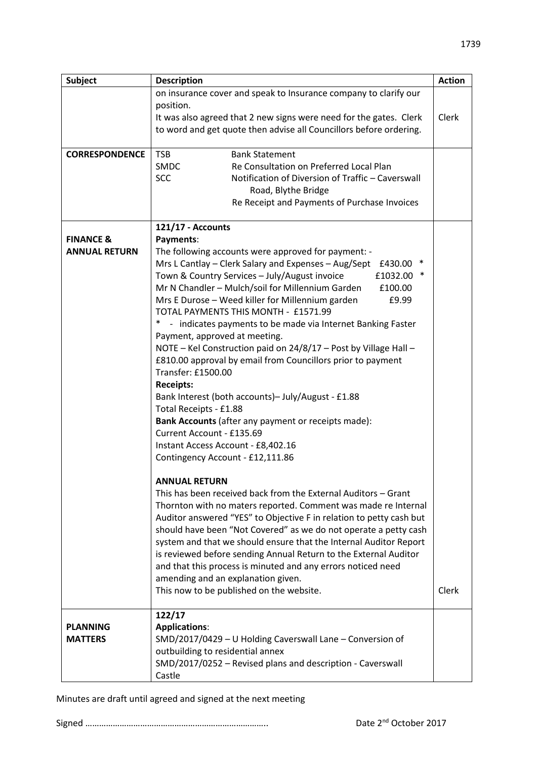| <b>Subject</b>        | <b>Description</b>                                                  | <b>Action</b> |
|-----------------------|---------------------------------------------------------------------|---------------|
|                       | on insurance cover and speak to Insurance company to clarify our    |               |
|                       | position.                                                           |               |
|                       | It was also agreed that 2 new signs were need for the gates. Clerk  | Clerk         |
|                       | to word and get quote then advise all Councillors before ordering.  |               |
|                       |                                                                     |               |
| <b>CORRESPONDENCE</b> | <b>TSB</b><br><b>Bank Statement</b>                                 |               |
|                       | <b>SMDC</b><br>Re Consultation on Preferred Local Plan              |               |
|                       | <b>SCC</b><br>Notification of Diversion of Traffic - Caverswall     |               |
|                       | Road, Blythe Bridge                                                 |               |
|                       | Re Receipt and Payments of Purchase Invoices                        |               |
|                       | 121/17 - Accounts                                                   |               |
| <b>FINANCE &amp;</b>  | Payments:                                                           |               |
| <b>ANNUAL RETURN</b>  | The following accounts were approved for payment: -                 |               |
|                       | Mrs L Cantlay – Clerk Salary and Expenses – Aug/Sept<br>£430.00     |               |
|                       | Town & Country Services - July/August invoice<br>£1032.00           |               |
|                       | Mr N Chandler - Mulch/soil for Millennium Garden<br>£100.00         |               |
|                       | Mrs E Durose - Weed killer for Millennium garden<br>£9.99           |               |
|                       | TOTAL PAYMENTS THIS MONTH - £1571.99                                |               |
|                       | - indicates payments to be made via Internet Banking Faster         |               |
|                       | Payment, approved at meeting.                                       |               |
|                       | NOTE - Kel Construction paid on 24/8/17 - Post by Village Hall -    |               |
|                       | £810.00 approval by email from Councillors prior to payment         |               |
|                       | Transfer: £1500.00                                                  |               |
|                       | <b>Receipts:</b>                                                    |               |
|                       | Bank Interest (both accounts)- July/August - £1.88                  |               |
|                       | Total Receipts - £1.88                                              |               |
|                       | Bank Accounts (after any payment or receipts made):                 |               |
|                       | Current Account - £135.69                                           |               |
|                       | Instant Access Account - £8,402.16                                  |               |
|                       | Contingency Account - £12,111.86                                    |               |
|                       | <b>ANNUAL RETURN</b>                                                |               |
|                       | This has been received back from the External Auditors - Grant      |               |
|                       | Thornton with no maters reported. Comment was made re Internal      |               |
|                       | Auditor answered "YES" to Objective F in relation to petty cash but |               |
|                       | should have been "Not Covered" as we do not operate a petty cash    |               |
|                       | system and that we should ensure that the Internal Auditor Report   |               |
|                       | is reviewed before sending Annual Return to the External Auditor    |               |
|                       | and that this process is minuted and any errors noticed need        |               |
|                       | amending and an explanation given.                                  |               |
|                       | This now to be published on the website.                            | Clerk         |
|                       |                                                                     |               |
| <b>PLANNING</b>       | 122/17<br><b>Applications:</b>                                      |               |
| <b>MATTERS</b>        | SMD/2017/0429 - U Holding Caverswall Lane - Conversion of           |               |
|                       | outbuilding to residential annex                                    |               |
|                       | SMD/2017/0252 - Revised plans and description - Caverswall          |               |
|                       | Castle                                                              |               |